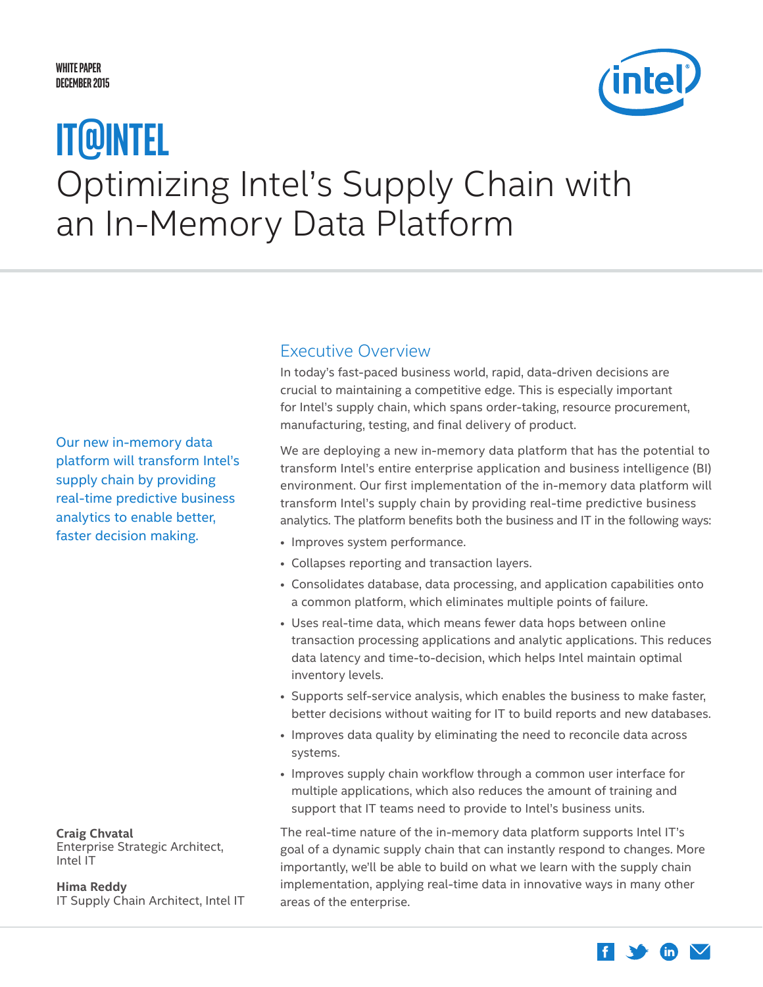## <span id="page-0-0"></span>**White Paper December 2015**



# Optimizing Intel's Supply Chain with an In-Memory Data Platform **IT@Intel**

Our new in-memory data platform will transform Intel's supply chain by providing real-time predictive business analytics to enable better, faster decision making.

**Craig Chvatal**

Enterprise Strategic Architect, Intel IT

**Hima Reddy**  IT Supply Chain Architect, Intel IT

## Executive Overview

In today's fast-paced business world, rapid, data-driven decisions are crucial to maintaining a competitive edge. This is especially important for Intel's supply chain, which spans order-taking, resource procurement, manufacturing, testing, and final delivery of product.

We are deploying a new in-memory data platform that has the potential to transform Intel's entire enterprise application and business intelligence (BI) environment. Our first implementation of the in-memory data platform will transform Intel's supply chain by providing real-time predictive business analytics. The platform benefits both the business and IT in the following ways:

- Improves system performance.
- Collapses reporting and transaction layers.
- Consolidates database, data processing, and application capabilities onto a common platform, which eliminates multiple points of failure.
- Uses real-time data, which means fewer data hops between online transaction processing applications and analytic applications. This reduces data latency and time-to-decision, which helps Intel maintain optimal inventory levels.
- Supports self-service analysis, which enables the business to make faster, better decisions without waiting for IT to build reports and new databases.
- Improves data quality by eliminating the need to reconcile data across systems.
- Improves supply chain workflow through a common user interface for multiple applications, which also reduces the amount of training and support that IT teams need to provide to Intel's business units.

The real-time nature of the in-memory data platform supports Intel IT's goal of a dynamic supply chain that can instantly respond to changes. More importantly, we'll be able to build on what we learn with the supply chain implementation, applying real-time data in innovative ways in many other areas of the enterprise.

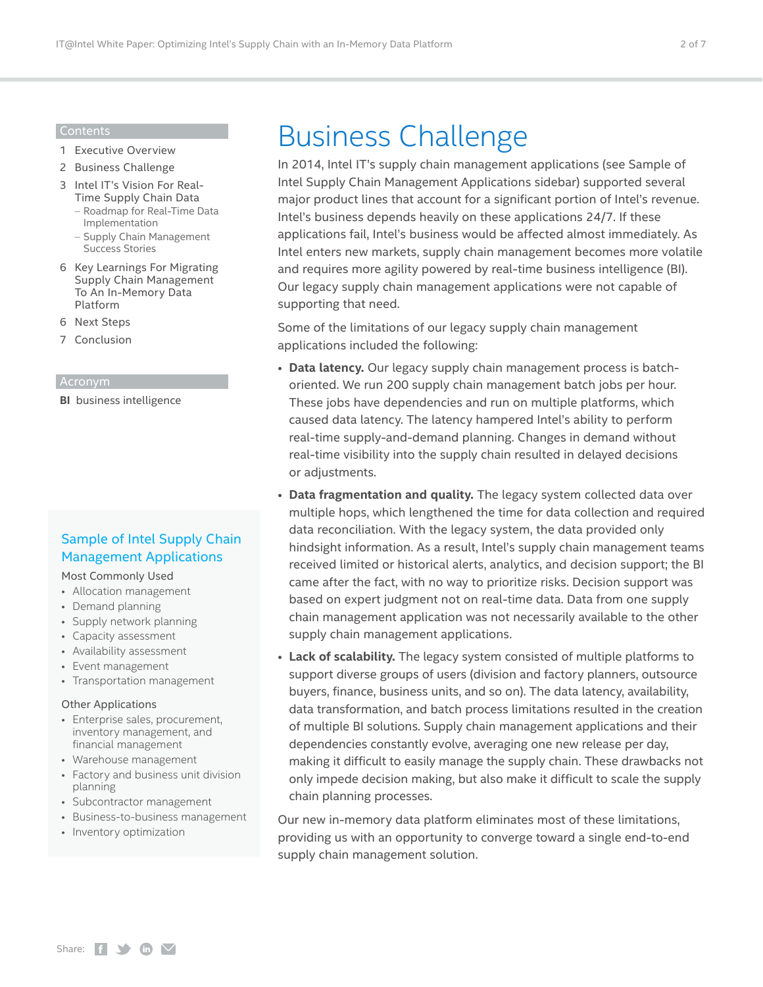#### Contents

- 1 [Executive Overview](#page-0-0)
- 2 Business Challenge
- 3 [Intel IT's Vision For Real-](#page-2-0)[Time Supply Chain Data](#page-2-0)
	- [Roadmap for Real-Time Data](#page-2-0)  [Implementation](#page-2-0)
	- [Supply Chain Management](#page-3-0)  [Success Stories](#page-3-0)
- 6 [Key Learnings For Migrating](#page-5-0)  [Supply Chain Management](#page-5-0)  [To An In-Memory Data](#page-5-0)  [Platform](#page-5-0)
- 6 [Next Steps](#page-5-0)
- 7 [Conclusion](#page-6-0)

#### Acronym

**BI** business intelligence

## Sample of Intel Supply Chain Management Applications

### Most Commonly Used

- Allocation management
- Demand planning
- Supply network planning
- Capacity assessment
- Availability assessment
- Event management
- Transportation management

### Other Applications

- Enterprise sales, procurement, inventory management, and financial management
- Warehouse management
- Factory and business unit division planning
- Subcontractor management
- Business-to-business management
- Inventory optimization

## Business Challenge

In 2014, Intel IT's supply chain management applications (see Sample of Intel Supply Chain Management Applications sidebar) supported several major product lines that account for a significant portion of Intel's revenue. Intel's business depends heavily on these applications 24/7. If these applications fail, Intel's business would be affected almost immediately. As Intel enters new markets, supply chain management becomes more volatile and requires more agility powered by real-time business intelligence (BI). Our legacy supply chain management applications were not capable of supporting that need.

Some of the limitations of our legacy supply chain management applications included the following:

- **Data latency.** Our legacy supply chain management process is batchoriented. We run 200 supply chain management batch jobs per hour. These jobs have dependencies and run on multiple platforms, which caused data latency. The latency hampered Intel's ability to perform real-time supply-and-demand planning. Changes in demand without real-time visibility into the supply chain resulted in delayed decisions or adjustments.
- **Data fragmentation and quality.** The legacy system collected data over multiple hops, which lengthened the time for data collection and required data reconciliation. With the legacy system, the data provided only hindsight information. As a result, Intel's supply chain management teams received limited or historical alerts, analytics, and decision support; the BI came after the fact, with no way to prioritize risks. Decision support was based on expert judgment not on real-time data. Data from one supply chain management application was not necessarily available to the other supply chain management applications.
- **Lack of scalability.** The legacy system consisted of multiple platforms to support diverse groups of users (division and factory planners, outsource buyers, finance, business units, and so on). The data latency, availability, data transformation, and batch process limitations resulted in the creation of multiple BI solutions. Supply chain management applications and their dependencies constantly evolve, averaging one new release per day, making it difficult to easily manage the supply chain. These drawbacks not only impede decision making, but also make it difficult to scale the supply chain planning processes.

Our new in-memory data platform eliminates most of these limitations, providing us with an opportunity to converge toward a single end-to-end supply chain management solution.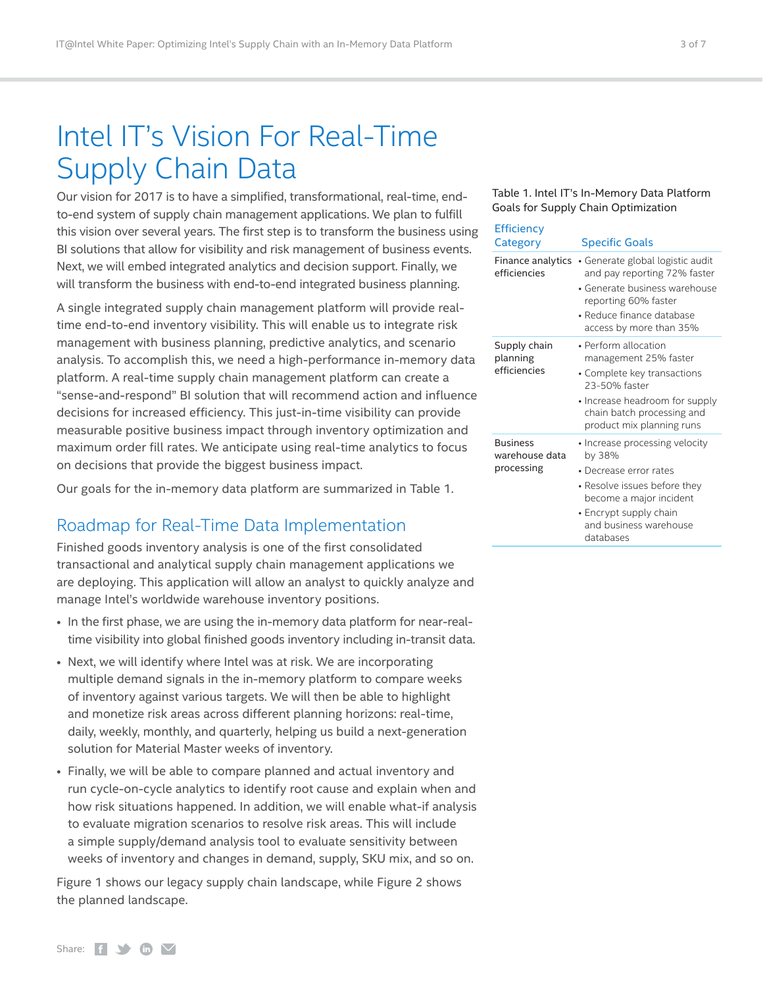## <span id="page-2-0"></span>Intel IT's Vision For Real-Time Supply Chain Data

Our vision for 2017 is to have a simplified, transformational, real-time, endto-end system of supply chain management applications. We plan to fulfill this vision over several years. The first step is to transform the business using BI solutions that allow for visibility and risk management of business events. Next, we will embed integrated analytics and decision support. Finally, we will transform the business with end-to-end integrated business planning.

A single integrated supply chain management platform will provide realtime end-to-end inventory visibility. This will enable us to integrate risk management with business planning, predictive analytics, and scenario analysis. To accomplish this, we need a high-performance in-memory data platform. A real-time supply chain management platform can create a "sense-and-respond" BI solution that will recommend action and influence decisions for increased efficiency. This just-in-time visibility can provide measurable positive business impact through inventory optimization and maximum order fill rates. We anticipate using real-time analytics to focus on decisions that provide the biggest business impact.

Our goals for the in-memory data platform are summarized in Table 1.

## Roadmap for Real-Time Data Implementation

Finished goods inventory analysis is one of the first consolidated transactional and analytical supply chain management applications we are deploying. This application will allow an analyst to quickly analyze and manage Intel's worldwide warehouse inventory positions.

- In the first phase, we are using the in-memory data platform for near-realtime visibility into global finished goods inventory including in-transit data.
- Next, we will identify where Intel was at risk. We are incorporating multiple demand signals in the in-memory platform to compare weeks of inventory against various targets. We will then be able to highlight and monetize risk areas across different planning horizons: real-time, daily, weekly, monthly, and quarterly, helping us build a next-generation solution for Material Master weeks of inventory.
- Finally, we will be able to compare planned and actual inventory and run cycle-on-cycle analytics to identify root cause and explain when and how risk situations happened. In addition, we will enable what-if analysis to evaluate migration scenarios to resolve risk areas. This will include a simple supply/demand analysis tool to evaluate sensitivity between weeks of inventory and changes in demand, supply, SKU mix, and so on.

Figure 1 shows our legacy supply chain landscape, while Figure 2 shows the planned landscape.

### <span id="page-2-1"></span>Table 1. Intel IT's In-Memory Data Platform Goals for Supply Chain Optimization

| <b>Efficiency</b><br>Category                   | <b>Specific Goals</b>                                                                                                                                                                          |
|-------------------------------------------------|------------------------------------------------------------------------------------------------------------------------------------------------------------------------------------------------|
| Finance analytics<br>efficiencies               | • Generate global logistic audit<br>and pay reporting 72% faster<br>• Generate business warehouse<br>reporting 60% faster<br>• Reduce finance database<br>access by more than 35%              |
| Supply chain<br>planning<br>efficiencies        | • Perform allocation<br>management 25% faster<br>• Complete key transactions<br>23-50% faster<br>• Increase headroom for supply<br>chain batch processing and<br>product mix planning runs     |
| <b>Business</b><br>warehouse data<br>processing | • Increase processing velocity<br>by 38%<br>• Decrease error rates<br>• Resolve issues before they<br>become a major incident<br>• Encrypt supply chain<br>and business warehouse<br>databases |

Share:  $f \rightarrow \mathbf{in}$   $\mathbf{\nabla}$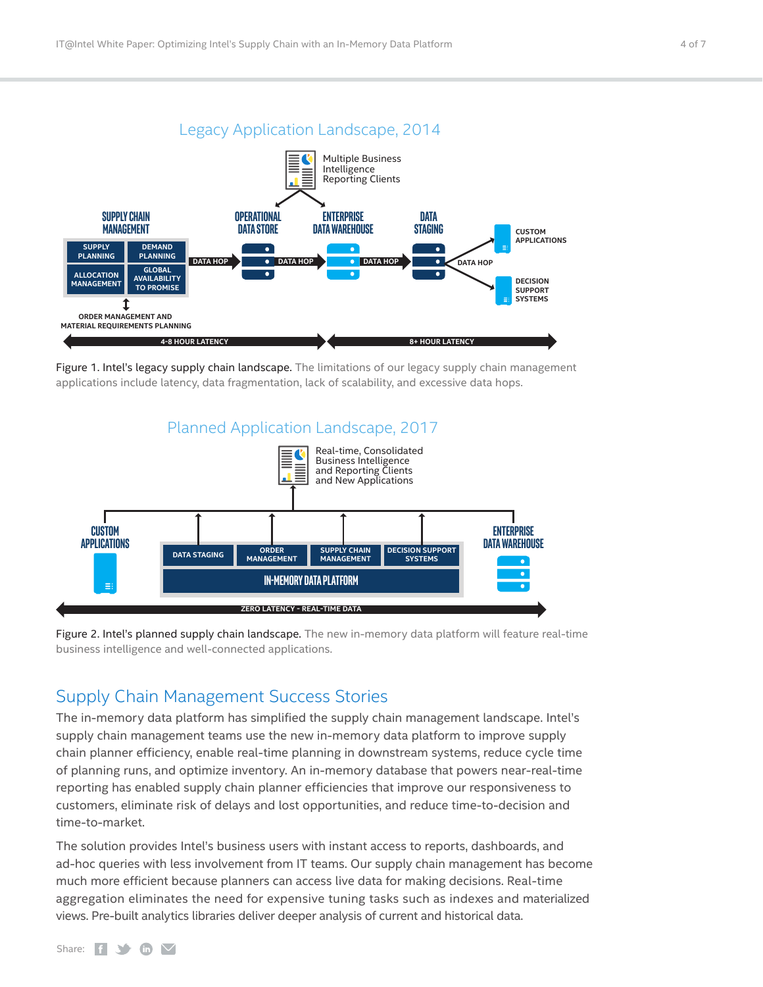<span id="page-3-0"></span>

Figure 1. Intel's legacy supply chain landscape. The limitations of our legacy supply chain management applications include latency, data fragmentation, lack of scalability, and excessive data hops.



Figure 2. Intel's planned supply chain landscape. The new in-memory data platform will feature real-time business intelligence and well-connected applications.

## Supply Chain Management Success Stories

The in-memory data platform has simplified the supply chain management landscape. Intel's supply chain management teams use the new in-memory data platform to improve supply chain planner efficiency, enable real-time planning in downstream systems, reduce cycle time of planning runs, and optimize inventory. An in-memory database that powers near-real-time reporting has enabled supply chain planner efficiencies that improve our responsiveness to customers, eliminate risk of delays and lost opportunities, and reduce time-to-decision and time-to-market.

The solution provides Intel's business users with instant access to reports, dashboards, and ad-hoc queries with less involvement from IT teams. Our supply chain management has become much more efficient because planners can access live data for making decisions. Real-time aggregation eliminates the need for expensive tuning tasks such as indexes and materialized views. Pre-built analytics libraries deliver deeper analysis of current and historical data.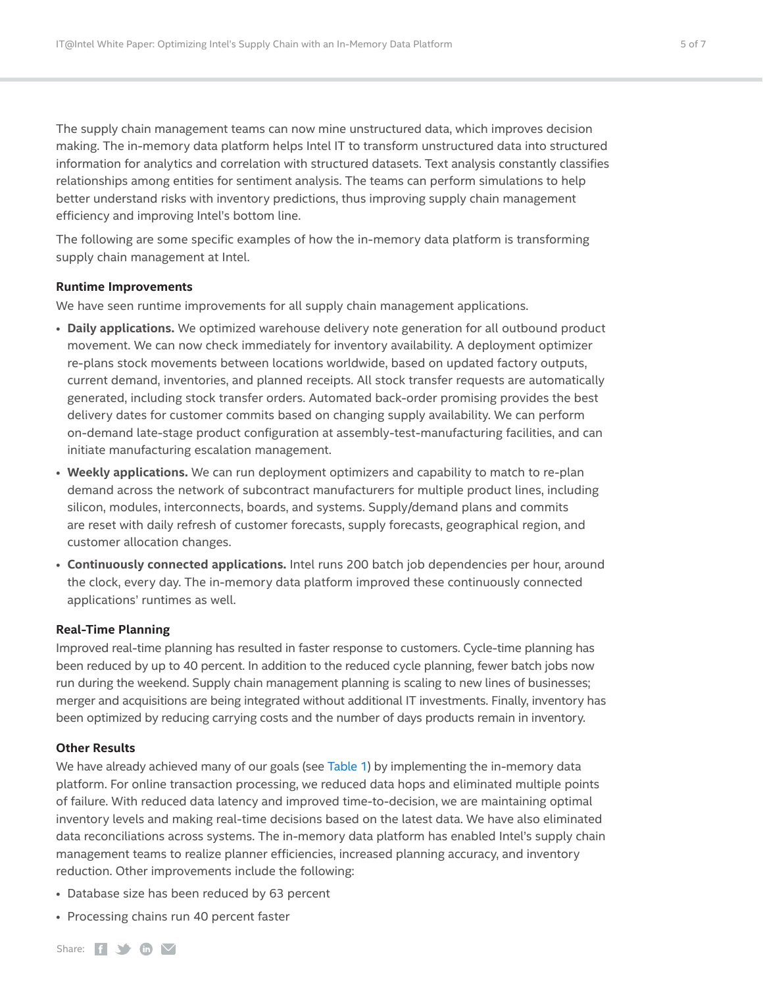The supply chain management teams can now mine unstructured data, which improves decision making. The in-memory data platform helps Intel IT to transform unstructured data into structured information for analytics and correlation with structured datasets. Text analysis constantly classifies relationships among entities for sentiment analysis. The teams can perform simulations to help better understand risks with inventory predictions, thus improving supply chain management efficiency and improving Intel's bottom line.

The following are some specific examples of how the in-memory data platform is transforming supply chain management at Intel.

## **Runtime Improvements**

We have seen runtime improvements for all supply chain management applications.

- **Daily applications.** We optimized warehouse delivery note generation for all outbound product movement. We can now check immediately for inventory availability. A deployment optimizer re-plans stock movements between locations worldwide, based on updated factory outputs, current demand, inventories, and planned receipts. All stock transfer requests are automatically generated, including stock transfer orders. Automated back-order promising provides the best delivery dates for customer commits based on changing supply availability. We can perform on-demand late-stage product configuration at assembly-test-manufacturing facilities, and can initiate manufacturing escalation management.
- **Weekly applications.** We can run deployment optimizers and capability to match to re-plan demand across the network of subcontract manufacturers for multiple product lines, including silicon, modules, interconnects, boards, and systems. Supply/demand plans and commits are reset with daily refresh of customer forecasts, supply forecasts, geographical region, and customer allocation changes.
- **Continuously connected applications.** Intel runs 200 batch job dependencies per hour, around the clock, every day. The in-memory data platform improved these continuously connected applications' runtimes as well.

### **Real-Time Planning**

Improved real-time planning has resulted in faster response to customers. Cycle-time planning has been reduced by up to 40 percent. In addition to the reduced cycle planning, fewer batch jobs now run during the weekend. Supply chain management planning is scaling to new lines of businesses; merger and acquisitions are being integrated without additional IT investments. Finally, inventory has been optimized by reducing carrying costs and the number of days products remain in inventory.

### **Other Results**

We have already achieved many of our goals (see [Table 1](#page-2-1)) by implementing the in-memory data platform. For online transaction processing, we reduced data hops and eliminated multiple points of failure. With reduced data latency and improved time-to-decision, we are maintaining optimal inventory levels and making real-time decisions based on the latest data. We have also eliminated data reconciliations across systems. The in-memory data platform has enabled Intel's supply chain management teams to realize planner efficiencies, increased planning accuracy, and inventory reduction. Other improvements include the following:

- Database size has been reduced by 63 percent
- Processing chains run 40 percent faster

Share:  $f \rightarrow \mathbf{in}$   $\mathbf{\nabla}$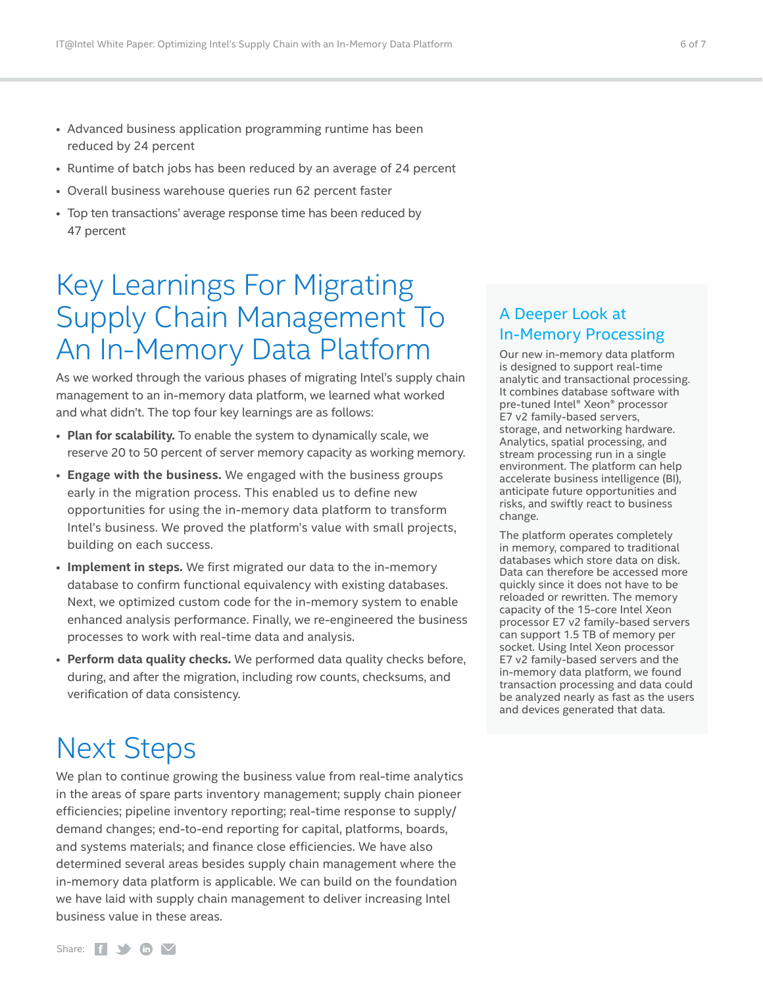- <span id="page-5-0"></span>• Advanced business application programming runtime has been reduced by 24 percent
- Runtime of batch jobs has been reduced by an average of 24 percent
- Overall business warehouse queries run 62 percent faster
- Top ten transactions' average response time has been reduced by 47 percent

## Key Learnings For Migrating Supply Chain Management To An In-Memory Data Platform

As we worked through the various phases of migrating Intel's supply chain management to an in-memory data platform, we learned what worked and what didn't. The top four key learnings are as follows:

- **Plan for scalability.** To enable the system to dynamically scale, we reserve 20 to 50 percent of server memory capacity as working memory.
- **Engage with the business.** We engaged with the business groups early in the migration process. This enabled us to define new opportunities for using the in-memory data platform to transform Intel's business. We proved the platform's value with small projects, building on each success.
- **Implement in steps.** We first migrated our data to the in-memory database to confirm functional equivalency with existing databases. Next, we optimized custom code for the in-memory system to enable enhanced analysis performance. Finally, we re-engineered the business processes to work with real-time data and analysis.
- **Perform data quality checks.** We performed data quality checks before, during, and after the migration, including row counts, checksums, and verification of data consistency.

## Next Steps

We plan to continue growing the business value from real-time analytics in the areas of spare parts inventory management; supply chain pioneer efficiencies; pipeline inventory reporting; real-time response to supply/ demand changes; end-to-end reporting for capital, platforms, boards, and systems materials; and finance close efficiencies. We have also determined several areas besides supply chain management where the in-memory data platform is applicable. We can build on the foundation we have laid with supply chain management to deliver increasing Intel business value in these areas.

## A Deeper Look at In-Memory Processing

Our new in-memory data platform is designed to support real-time analytic and transactional processing. It combines database software with pre-tuned Intel® Xeon® processor E7 v2 family-based servers, storage, and networking hardware. Analytics, spatial processing, and stream processing run in a single environment. The platform can help accelerate business intelligence (BI), anticipate future opportunities and risks, and swiftly react to business change.

The platform operates completely in memory, compared to traditional databases which store data on disk. Data can therefore be accessed more quickly since it does not have to be reloaded or rewritten. The memory capacity of the 15-core Intel Xeon processor E7 v2 family-based servers can support 1.5 TB of memory per socket. Using Intel Xeon processor E7 v2 family-based servers and the in-memory data platform, we found transaction processing and data could be analyzed nearly as fast as the users and devices generated that data.